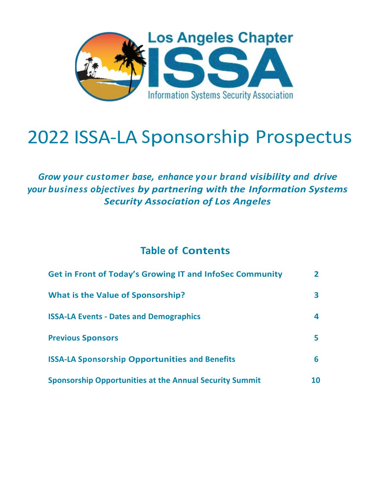

# 2022 ISSA-LA Sponsorship Prospectus

# *Grow your customer base, enhance your brand visibility and drive your business objectives by partnering with the Information Systems Security Association of Los Angeles*

# **Table of Contents**

| <b>Get in Front of Today's Growing IT and InfoSec Community</b> |    |
|-----------------------------------------------------------------|----|
| What is the Value of Sponsorship?                               |    |
| <b>ISSA-LA Events - Dates and Demographics</b>                  |    |
| <b>Previous Sponsors</b>                                        |    |
| <b>ISSA-LA Sponsorship Opportunities and Benefits</b>           | 6  |
| <b>Sponsorship Opportunities at the Annual Security Summit</b>  | 10 |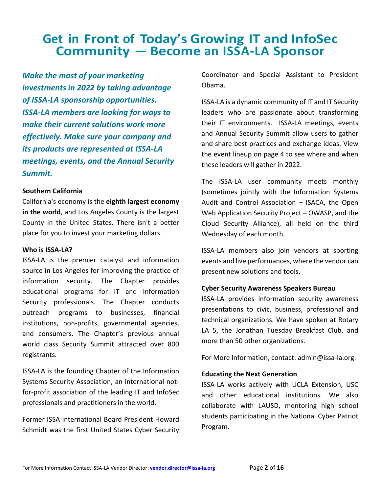# **Get in Front of Today's Growing IT and InfoSec Community — Become an ISSA-LA Sponsor**

*Make the most of your marketing investments in 2022 by taking advantage of ISSA-LA sponsorship opportunities. ISSA-LA members are looking for ways to make their current solutions work more effectively. Make sure your company and its products are represented at ISSA-LA meetings, events, and the Annual Security Summit.*

## **Southern California**

California's economy is the **eighth largest economy in the world**, and Los Angeles County is the largest County in the United States. There isn't a better place for you to invest your marketing dollars.

#### **Who is ISSA-LA?**

ISSA-LA is the premier catalyst and information source in Los Angeles for improving the practice of information security. The Chapter provides educational programs for IT and Information Security professionals. The Chapter conducts outreach programs to businesses, financial institutions, non-profits, governmental agencies, and consumers. The Chapter's previous annual world class Security Summit attracted over 800 registrants.

ISSA-LA is the founding Chapter of the Information Systems Security Association, an international notfor-profit association of the leading IT and InfoSec professionals and practitioners in the world.

Former ISSA International Board President Howard Schmidt was the first United States Cyber Security Coordinator and Special Assistant to President Obama.

ISSA-LA is a dynamic community of IT and IT Security leaders who are passionate about transforming their IT environments. ISSA-LA meetings, events and Annual Security Summit allow users to gather and share best practices and exchange ideas. View the event lineup on page 4 to see where and when these leaders will gather in 2022.

The ISSA-LA user community meets monthly (sometimes jointly with the Information Systems Audit and Control Association – ISACA, the Open Web Application Security Project – OWASP, and the Cloud Security Alliance), all held on the third Wednesday of each month.

ISSA-LA members also join vendors at sporting events and live performances, where the vendor can present new solutions and tools.

#### **Cyber Security Awareness Speakers Bureau**

ISSA-LA provides information security awareness presentations to civic, business, professional and technical organizations. We have spoken at Rotary LA 5, the Jonathan Tuesday Breakfast Club, and more than 50 other organizations.

For More Information, contact: admin@issa-la.org.

## **Educating the Next Generation**

ISSA-LA works actively with UCLA Extension, USC and other educational institutions. We also collaborate with LAUSD, mentoring high school students participating in the National Cyber Patriot Program.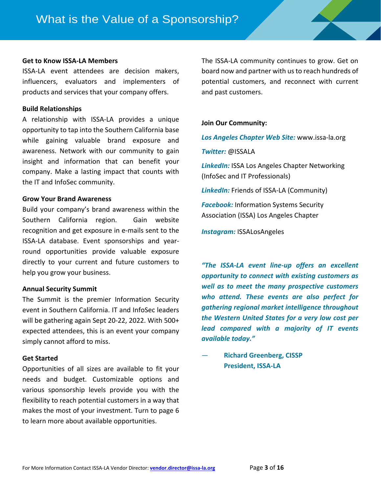#### **Get to Know ISSA-LA Members**

ISSA-LA event attendees are decision makers, influencers, evaluators and implementers of products and services that your company offers.

#### **Build Relationships**

A relationship with ISSA-LA provides a unique opportunity to tap into the Southern California base while gaining valuable brand exposure and awareness. Network with our community to gain insight and information that can benefit your company. Make a lasting impact that counts with the IT and InfoSec community.

#### **Grow Your Brand Awareness**

Build your company's brand awareness within the Southern California region. Gain website recognition and get exposure in e-mails sent to the ISSA-LA database. Event sponsorships and yearround opportunities provide valuable exposure directly to your current and future customers to help you grow your business.

#### **Annual Security Summit**

The Summit is the premier Information Security event in Southern California. IT and InfoSec leaders will be gathering again Sept 20-22, 2022. With 500+ expected attendees, this is an event your company simply cannot afford to miss.

#### **Get Started**

Opportunities of all sizes are available to fit your needs and budget. Customizable options and various sponsorship levels provide you with the flexibility to reach potential customers in a way that makes the most of your investment. Turn to page 6 to learn more about available opportunities.

The ISSA-LA community continues to grow. Get on board now and partner with us to reach hundreds of potential customers, and reconnect with current and past customers.

#### **Join Our Community:**

*Los Angeles Chapter Web Site:* www.issa-la.org

*Twitter:* @ISSALA

*LinkedIn:* ISSA Los Angeles Chapter Networking (InfoSec and IT Professionals)

*LinkedIn:* Friends of ISSA-LA (Community)

*Facebook:* Information Systems Security Association (ISSA) Los Angeles Chapter

*Instagram:* ISSALosAngeles

*"The ISSA-LA event line-up offers an excellent opportunity to connect with existing customers as well as to meet the many prospective customers who attend. These events are also perfect for gathering regional market intelligence throughout the Western United States for a very low cost per lead compared with a majority of IT events available today."*

— **Richard Greenberg, CISSP President, ISSA-LA**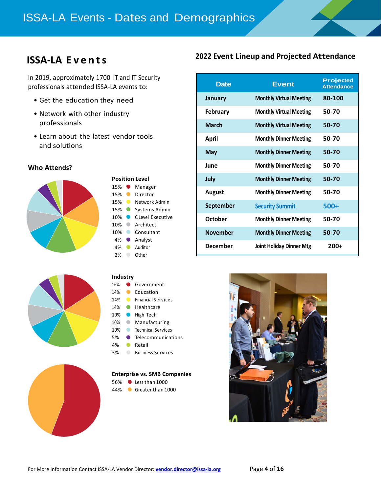# **ISSA-LA Events**

In 2019, approximately 1700 IT and IT Security professionals attended ISSA-LA events to:

- Get the education they need
- Network with other industry professionals
- Learn about the latest vendor tools and solutions

#### **Who Attends?**





- 4% Analyst
- 4% Auditor
- 2% Other

#### **Industry**

| 16% | Government |
|-----|------------|
|     |            |

- 14% Education 14% **Financial Services**
- 14% Healthcare
- 10% High Tech
- 10% Manufacturing
- 10% C Technical Services
- 5% Telecommunications
- 4% Retail
- 3% Business Services

#### **Enterprise vs. SMB Companies**

- 56% Less than 1000
- 44% Greater than 1000

## **2022 Event Lineup and Projected Attendance**

| <b>Date</b>     | <b>Event</b>                    | Projected<br><b>Attendance</b> |
|-----------------|---------------------------------|--------------------------------|
| January         | <b>Monthly Virtual Meeting</b>  | 80-100                         |
| February        | <b>Monthly Virtual Meeting</b>  | 50-70                          |
| <b>March</b>    | <b>Monthly Virtual Meeting</b>  | 50-70                          |
| <b>April</b>    | <b>Monthly Dinner Meeting</b>   | 50-70                          |
| May             | <b>Monthly Dinner Meeting</b>   | 50-70                          |
| June            | <b>Monthly Dinner Meeting</b>   | 50-70                          |
| July            | <b>Monthly Dinner Meeting</b>   | 50-70                          |
| August          | <b>Monthly Dinner Meeting</b>   | 50-70                          |
| September       | <b>Security Summit</b>          | $500+$                         |
| October         | <b>Monthly Dinner Meeting</b>   | 50-70                          |
| <b>November</b> | <b>Monthly Dinner Meeting</b>   | 50-70                          |
| December        | <b>Joint Holiday Dinner Mtg</b> | $200+$                         |

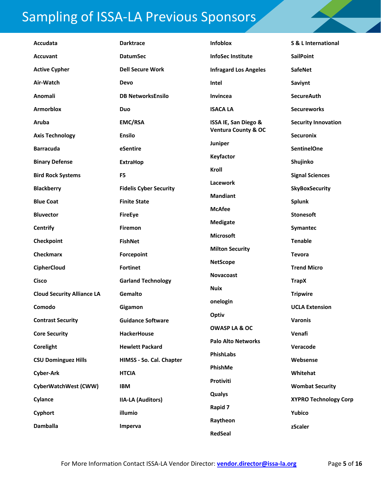# Sampling of ISSA-LA Previous Sponsors

| Accudata                          | <b>Darktrace</b>              | Infoblox                       | S & L International          |
|-----------------------------------|-------------------------------|--------------------------------|------------------------------|
| <b>Accuvant</b>                   | <b>DatumSec</b>               | <b>InfoSec Institute</b>       | <b>SailPoint</b>             |
| <b>Active Cypher</b>              | <b>Dell Secure Work</b>       | <b>Infragard Los Angeles</b>   | <b>SafeNet</b>               |
| Air-Watch                         | <b>Devo</b>                   | Intel                          | Saviynt                      |
| Anomali                           | <b>DB NetworksEnsilo</b>      | Invincea                       | <b>SecureAuth</b>            |
| <b>Armorblox</b>                  | Duo                           | <b>ISACA LA</b>                | <b>Secureworks</b>           |
| Aruba                             | <b>EMC/RSA</b>                | ISSA IE, San Diego &           | <b>Security Innovation</b>   |
| <b>Axis Technology</b>            | <b>Ensilo</b>                 | <b>Ventura County &amp; OC</b> | <b>Securonix</b>             |
| <b>Barracuda</b>                  | eSentire                      | Juniper                        | <b>SentinelOne</b>           |
| <b>Binary Defense</b>             | <b>ExtraHop</b>               | Keyfactor                      | Shujinko                     |
| <b>Bird Rock Systems</b>          | F <sub>5</sub>                | Kroll                          | <b>Signal Sciences</b>       |
| <b>Blackberry</b>                 | <b>Fidelis Cyber Security</b> | Lacework                       | <b>SkyBoxSecurity</b>        |
| <b>Blue Coat</b>                  | <b>Finite State</b>           | <b>Mandiant</b>                | <b>Splunk</b>                |
| <b>Bluvector</b>                  | <b>FireEye</b>                | <b>McAfee</b>                  | <b>Stonesoft</b>             |
| <b>Centrify</b>                   | <b>Firemon</b>                | <b>Medigate</b>                | Symantec                     |
| Checkpoint                        | <b>FishNet</b>                | <b>Microsoft</b>               | <b>Tenable</b>               |
| <b>Checkmarx</b>                  | Forcepoint                    | <b>Milton Security</b>         | <b>Tevora</b>                |
| <b>CipherCloud</b>                | <b>Fortinet</b>               | <b>NetScope</b>                | <b>Trend Micro</b>           |
| <b>Cisco</b>                      | <b>Garland Technology</b>     | <b>Novacoast</b>               | <b>TrapX</b>                 |
| <b>Cloud Security Alliance LA</b> | Gemalto                       | <b>Nuix</b>                    | <b>Tripwire</b>              |
| Comodo                            | Gigamon                       | onelogin                       | <b>UCLA Extension</b>        |
| <b>Contrast Security</b>          | <b>Guidance Software</b>      | Optiv                          | Varonis                      |
| <b>Core Security</b>              | <b>HackerHouse</b>            | OWASP LA & OC                  | Venafi                       |
| Corelight                         | <b>Hewlett Packard</b>        | <b>Palo Alto Networks</b>      | Veracode                     |
| <b>CSU Dominguez Hills</b>        | HIMSS - So. Cal. Chapter      | PhishLabs                      | Websense                     |
| <b>Cyber-Ark</b>                  | <b>HTCIA</b>                  | PhishMe                        | Whitehat                     |
| <b>CyberWatchWest (CWW)</b>       | <b>IBM</b>                    | Protiviti                      | <b>Wombat Security</b>       |
| Cylance                           | <b>IIA-LA (Auditors)</b>      | Qualys                         | <b>XYPRO Technology Corp</b> |
| Cyphort                           | illumio                       | Rapid 7                        | Yubico                       |
| <b>Damballa</b>                   | Imperva                       | Raytheon                       | zScaler                      |
|                                   |                               | <b>RedSeal</b>                 |                              |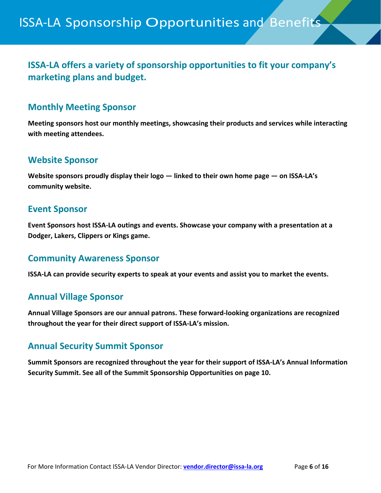## **ISSA-LA offers a variety of sponsorship opportunities to fit your company's marketing plans and budget.**

## **Monthly Meeting Sponsor**

**Meeting sponsors host our monthly meetings, showcasing their products and services while interacting with meeting attendees.** 

## **Website Sponsor**

**Website sponsors proudly display their logo — linked to their own home page — on ISSA-LA's community website.**

## **Event Sponsor**

**Event Sponsors host ISSA-LA outings and events. Showcase your company with a presentation at a Dodger, Lakers, Clippers or Kings game.**

## **Community Awareness Sponsor**

**ISSA-LA can provide security experts to speak at your events and assist you to market the events.**

## **Annual Village Sponsor**

**Annual Village Sponsors are our annual patrons. These forward-looking organizations are recognized throughout the year for their direct support of ISSA-LA's mission.**

## **Annual Security Summit Sponsor**

**Summit Sponsors are recognized throughout the year for their support of ISSA-LA's Annual Information Security Summit. See all of the Summit Sponsorship Opportunities on page 10.**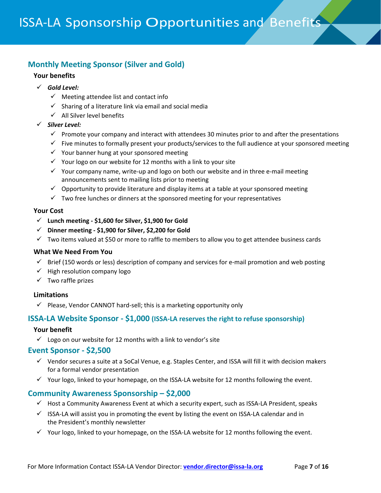## **Monthly Meeting Sponsor (Silver and Gold)**

#### **Your benefits**

- *Gold Level:*
	- $\checkmark$  Meeting attendee list and contact info
	- $\checkmark$  Sharing of a literature link via email and social media
	- $\checkmark$  All Silver level benefits
- *Silver Level:*
	- $\checkmark$  Promote your company and interact with attendees 30 minutes prior to and after the presentations
	- $\checkmark$  Five minutes to formally present your products/services to the full audience at your sponsored meeting
	- $\checkmark$  Your banner hung at your sponsored meeting
	- $\checkmark$  Your logo on our website for 12 months with a link to your site
	- $\checkmark$  Your company name, write-up and logo on both our website and in three e-mail meeting announcements sent to mailing lists prior to meeting
	- $\checkmark$  Opportunity to provide literature and display items at a table at your sponsored meeting
	- $\checkmark$  Two free lunches or dinners at the sponsored meeting for your representatives

#### **Your Cost**

- **Lunch meeting - \$1,600 for Silver, \$1,900 for Gold**
- **Dinner meeting - \$1,900 for Silver, \$2,200 for Gold**
- $\checkmark$  Two items valued at \$50 or more to raffle to members to allow you to get attendee business cards

#### **What We Need From You**

- $\checkmark$  Brief (150 words or less) description of company and services for e-mail promotion and web posting
- $\checkmark$  High resolution company logo
- $\checkmark$  Two raffle prizes

#### **Limitations**

 $\checkmark$  Please, Vendor CANNOT hard-sell; this is a marketing opportunity only

## **ISSA-LA Website Sponsor - \$1,000 (ISSA-LA reserves the right to refuse sponsorship)**

#### **Your benefit**

 $\checkmark$  Logo on our website for 12 months with a link to vendor's site

#### **Event Sponsor - \$2,500**

- $\checkmark$  Vendor secures a suite at a SoCal Venue, e.g. Staples Center, and ISSA will fill it with decision makers for a formal vendor presentation
- $\checkmark$  Your logo, linked to your homepage, on the ISSA-LA website for 12 months following the event.

## **Community Awareness Sponsorship – \$2,000**

- $\checkmark$  Host a Community Awareness Event at which a security expert, such as ISSA-LA President, speaks
- $\checkmark$  ISSA-LA will assist you in promoting the event by listing the event on ISSA-LA calendar and in the President's monthly newsletter
- $\checkmark$  Your logo, linked to your homepage, on the ISSA-LA website for 12 months following the event.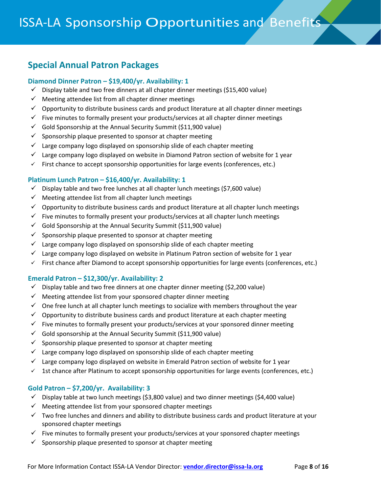## **Special Annual Patron Packages**

#### **Diamond Dinner Patron – \$19,400/yr. Availability: 1**

- $\checkmark$  Display table and two free dinners at all chapter dinner meetings (\$15,400 value)
- $\checkmark$  Meeting attendee list from all chapter dinner meetings
- $\checkmark$  Opportunity to distribute business cards and product literature at all chapter dinner meetings
- $\checkmark$  Five minutes to formally present your products/services at all chapter dinner meetings
- $\checkmark$  Gold Sponsorship at the Annual Security Summit (\$11,900 value)
- $\checkmark$  Sponsorship plaque presented to sponsor at chapter meeting
- $\checkmark$  Large company logo displayed on sponsorship slide of each chapter meeting
- $\checkmark$  Large company logo displayed on website in Diamond Patron section of website for 1 year
- $\checkmark$  First chance to accept sponsorship opportunities for large events (conferences, etc.)

#### **Platinum Lunch Patron – \$16,400/yr. Availability: 1**

- $\checkmark$  Display table and two free lunches at all chapter lunch meetings (\$7,600 value)
- $\checkmark$  Meeting attendee list from all chapter lunch meetings
- $\checkmark$  Opportunity to distribute business cards and product literature at all chapter lunch meetings
- $\checkmark$  Five minutes to formally present your products/services at all chapter lunch meetings
- $\checkmark$  Gold Sponsorship at the Annual Security Summit (\$11,900 value)
- $\checkmark$  Sponsorship plaque presented to sponsor at chapter meeting
- $\checkmark$  Large company logo displayed on sponsorship slide of each chapter meeting
- $\checkmark$  Large company logo displayed on website in Platinum Patron section of website for 1 year
- $\checkmark$  First chance after Diamond to accept sponsorship opportunities for large events (conferences, etc.)

#### **Emerald Patron – \$12,300/yr. Availability: 2**

- $\checkmark$  Display table and two free dinners at one chapter dinner meeting (\$2,200 value)
- $\checkmark$  Meeting attendee list from your sponsored chapter dinner meeting
- $\checkmark$  One free lunch at all chapter lunch meetings to socialize with members throughout the year
- $\checkmark$  Opportunity to distribute business cards and product literature at each chapter meeting
- $\checkmark$  Five minutes to formally present your products/services at your sponsored dinner meeting
- $\checkmark$  Gold sponsorship at the Annual Security Summit (\$11,900 value)
- $\checkmark$  Sponsorship plaque presented to sponsor at chapter meeting
- $\checkmark$  Large company logo displayed on sponsorship slide of each chapter meeting
- $\checkmark$  Large company logo displayed on website in Emerald Patron section of website for 1 year
- $\checkmark$  1st chance after Platinum to accept sponsorship opportunities for large events (conferences, etc.)

## **Gold Patron – \$7,200/yr. Availability: 3**

- $\checkmark$  Display table at two lunch meetings (\$3,800 value) and two dinner meetings (\$4,400 value)
- $\checkmark$  Meeting attendee list from your sponsored chapter meetings
- $\checkmark$  Two free lunches and dinners and ability to distribute business cards and product literature at your sponsored chapter meetings
- $\checkmark$  Five minutes to formally present your products/services at your sponsored chapter meetings
- $\checkmark$  Sponsorship plaque presented to sponsor at chapter meeting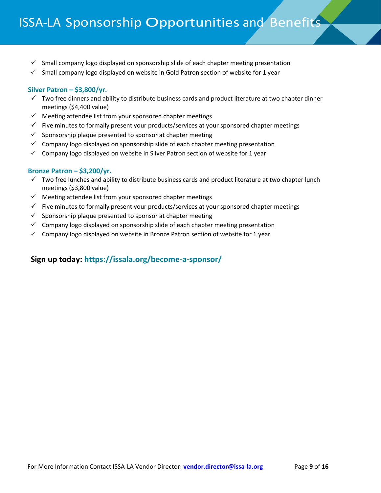- $\checkmark$  Small company logo displayed on sponsorship slide of each chapter meeting presentation
- $\checkmark$  Small company logo displayed on website in Gold Patron section of website for 1 year

#### **Silver Patron – \$3,800/yr.**

- $\checkmark$  Two free dinners and ability to distribute business cards and product literature at two chapter dinner meetings (\$4,400 value)
- $\checkmark$  Meeting attendee list from your sponsored chapter meetings
- $\checkmark$  Five minutes to formally present your products/services at your sponsored chapter meetings
- $\checkmark$  Sponsorship plaque presented to sponsor at chapter meeting
- $\checkmark$  Company logo displayed on sponsorship slide of each chapter meeting presentation
- $\checkmark$  Company logo displayed on website in Silver Patron section of website for 1 year

#### **Bronze Patron – \$3,200/yr.**

- $\checkmark$  Two free lunches and ability to distribute business cards and product literature at two chapter lunch meetings (\$3,800 value)
- $\checkmark$  Meeting attendee list from your sponsored chapter meetings
- $\checkmark$  Five minutes to formally present your products/services at your sponsored chapter meetings
- $\checkmark$  Sponsorship plaque presented to sponsor at chapter meeting
- $\checkmark$  Company logo displayed on sponsorship slide of each chapter meeting presentation
- $\checkmark$  Company logo displayed on website in Bronze Patron section of website for 1 year

## **Sign up today: https://issala.org/become-a-sponsor/**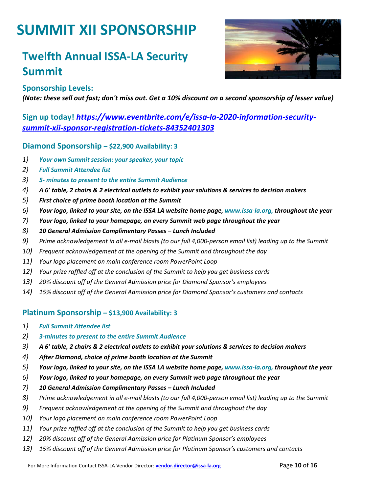# **SUMMIT XII SPONSORSHIP**

# **Twelfth Annual ISSA-LA Security Summit**



## **Sponsorship Levels:**

*(Note: these sell out fast; don't miss out. Get a 10% discount on a second sponsorship of lesser value)*

## **[Sign up today!](https://www.eventbrite.com/e/issa-la-2020-information-security-summit-xii-sponsor-registration-tickets-84352401303)** *[https://www.eventbrite.com/e/issa-la-2020-information-security](https://www.eventbrite.com/e/issa-la-2020-information-security-summit-xii-sponsor-registration-tickets-84352401303)[summit-xii-sponsor-registration-tickets-84352401303](https://www.eventbrite.com/e/issa-la-2020-information-security-summit-xii-sponsor-registration-tickets-84352401303)*

## **Diamond Sponsorship – \$22,900 Availability: 3**

- *1) Your own Summit session: your speaker, your topic*
- *2) Full Summit Attendee list*
- *3) 5- minutes to present to the entire Summit Audience*
- *4) A 6' table, 2 chairs & 2 electrical outlets to exhibit your solutions & services to decision makers*
- *5) First choice of prime booth location at the Summit*
- *6) Your logo, linked to your site, on the ISSA LA website home page, [www.issa-la.org,](http://www.issa-la.org/) throughout the year*
- *7) Your logo, linked to your homepage, on every Summit web page throughout the year*
- *8) 10 General Admission Complimentary Passes – Lunch Included*
- *9) Prime acknowledgement in all e-mail blasts (to our full 4,000-person email list) leading up to the Summit*
- *10) Frequent acknowledgement at the opening of the Summit and throughout the day*
- *11) Your logo placement on main conference room PowerPoint Loop*
- *12) Your prize raffled off at the conclusion of the Summit to help you get business cards*
- *13) 20% discount off of the General Admission price for Diamond Sponsor's employees*
- *14) 15% discount off of the General Admission price for Diamond Sponsor's customers and contacts*

## **Platinum Sponsorship – \$13,900 Availability: 3**

- *1) Full Summit Attendee list*
- *2) 3-minutes to present to the entire Summit Audience*
- *3) A 6' table, 2 chairs & 2 electrical outlets to exhibit your solutions & services to decision makers*
- *4) After Diamond, choice of prime booth location at the Summit*
- *5) Your logo, linked to your site, on the ISSA LA website home page, [www.issa-la.org,](http://www.issa-la.org/) throughout the year*
- *6) Your logo, linked to your homepage, on every Summit web page throughout the year*
- *7) 10 General Admission Complimentary Passes – Lunch Included*
- *8) Prime acknowledgement in all e-mail blasts (to our full 4,000-person email list) leading up to the Summit*
- *9) Frequent acknowledgement at the opening of the Summit and throughout the day*
- *10) Your logo placement on main conference room PowerPoint Loop*
- *11) Your prize raffled off at the conclusion of the Summit to help you get business cards*
- *12) 20% discount off of the General Admission price for Platinum Sponsor's employees*
- *13) 15% discount off of the General Admission price for Platinum Sponsor's customers and contacts*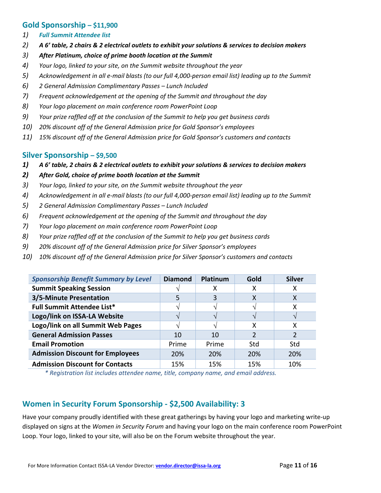## **Gold Sponsorship – \$11,900**

- *1) Full Summit Attendee list*
- *2) A 6' table, 2 chairs & 2 electrical outlets to exhibit your solutions & services to decision makers*
- *3) After Platinum, choice of prime booth location at the Summit*
- *4) Your logo, linked to your site, on the Summit website throughout the year*
- *5) Acknowledgement in all e-mail blasts (to our full 4,000-person email list) leading up to the Summit*
- *6) 2 General Admission Complimentary Passes – Lunch Included*
- *7) Frequent acknowledgement at the opening of the Summit and throughout the day*
- *8) Your logo placement on main conference room PowerPoint Loop*
- *9) Your prize raffled off at the conclusion of the Summit to help you get business cards*
- *10) 20% discount off of the General Admission price for Gold Sponsor's employees*
- *11) 15% discount off of the General Admission price for Gold Sponsor's customers and contacts*

## **Silver Sponsorship – \$9,500**

- *1) A 6' table, 2 chairs & 2 electrical outlets to exhibit your solutions & services to decision makers*
- *2) After Gold, choice of prime booth location at the Summit*
- *3) Your logo, linked to your site, on the Summit website throughout the year*
- *4) Acknowledgement in all e-mail blasts (to our full 4,000-person email list) leading up to the Summit*
- *5) 2 General Admission Complimentary Passes – Lunch Included*
- *6) Frequent acknowledgement at the opening of the Summit and throughout the day*
- *7) Your logo placement on main conference room PowerPoint Loop*
- *8) Your prize raffled off at the conclusion of the Summit to help you get business cards*
- *9) 20% discount off of the General Admission price for Silver Sponsor's employees*
- *10) 10% discount off of the General Admission price for Silver Sponsor's customers and contacts*

| <b>Sponsorship Benefit Summary by Level</b> | <b>Diamond</b> | <b>Platinum</b> | Gold | <b>Silver</b> |
|---------------------------------------------|----------------|-----------------|------|---------------|
| <b>Summit Speaking Session</b>              |                | χ               | Χ    |               |
| 3/5-Minute Presentation                     | 5              | 3               | X    | X             |
| <b>Full Summit Attendee List*</b>           |                | ٦١              |      |               |
| Logo/link on ISSA-LA Website                |                | $\mathcal{N}$   |      |               |
| Logo/link on all Summit Web Pages           |                | ٦               | χ    |               |
| <b>General Admission Passes</b>             | 10             | 10              |      |               |
| <b>Email Promotion</b>                      | Prime          | Prime           | Std  | Std           |
| <b>Admission Discount for Employees</b>     | 20%            | 20%             | 20%  | 20%           |
| <b>Admission Discount for Contacts</b>      | 15%            | 15%             | 15%  | 10%           |

*\* Registration list includes attendee name, title, company name, and email address.*

## **Women in Security Forum Sponsorship - \$2,500 Availability: 3**

Have your company proudly identified with these great gatherings by having your logo and marketing write-up displayed on signs at the *Women in Security Forum* and having your logo on the main conference room PowerPoint Loop. Your logo, linked to your site, will also be on the Forum website throughout the year.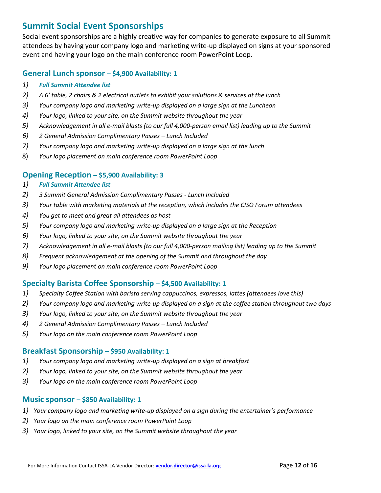## **Summit Social Event Sponsorships**

Social event sponsorships are a highly creative way for companies to generate exposure to all Summit attendees by having your company logo and marketing write-up displayed on signs at your sponsored event and having your logo on the main conference room PowerPoint Loop.

## **General Lunch sponsor – \$4,900 Availability: 1**

- *1) Full Summit Attendee list*
- *2) A 6' table, 2 chairs & 2 electrical outlets to exhibit your solutions & services at the lunch*
- *3) Your company logo and marketing write-up displayed on a large sign at the Luncheon*
- *4) Your logo, linked to your site, on the Summit website throughout the year*
- *5) Acknowledgement in all e-mail blasts (to our full 4,000-person email list) leading up to the Summit*
- *6) 2 General Admission Complimentary Passes – Lunch Included*
- *7) Your company logo and marketing write-up displayed on a large sign at the lunch*
- 8) *Your logo placement on main conference room PowerPoint Loop*

## **Opening Reception – \$5,900 Availability: 3**

- *1) Full Summit Attendee list*
- *2) 3 Summit General Admission Complimentary Passes - Lunch Included*
- *3) Your table with marketing materials at the reception, which includes the CISO Forum attendees*
- *4) You get to meet and great all attendees as host*
- *5) Your company logo and marketing write-up displayed on a large sign at the Reception*
- *6) Your logo, linked to your site, on the Summit website throughout the year*
- *7) Acknowledgement in all e-mail blasts (to our full 4,000-person mailing list) leading up to the Summit*
- *8) Frequent acknowledgement at the opening of the Summit and throughout the day*
- *9) Your logo placement on main conference room PowerPoint Loop*

## **Specialty Barista Coffee Sponsorship – \$4,500 Availability: 1**

- *1) Specialty Coffee Station with barista serving cappuccinos, expressos, lattes (attendees love this)*
- *2) Your company logo and marketing write-up displayed on a sign at the coffee station throughout two days*
- *3) Your logo, linked to your site, on the Summit website throughout the year*
- *4) 2 General Admission Complimentary Passes – Lunch Included*
- *5) Your logo on the main conference room PowerPoint Loop*

## **Breakfast Sponsorship – \$950 Availability: 1**

- *1) Your company logo and marketing write-up displayed on a sign at breakfast*
- *2) Your logo, linked to your site, on the Summit website throughout the year*
- *3) Your logo on the main conference room PowerPoint Loop*

## **Music sponsor – \$850 Availability: 1**

- *1) Your company logo and marketing write-up displayed on a sign during the entertainer's performance*
- *2) Your logo on the main conference room PowerPoint Loop*
- *3) Your logo, linked to your site, on the Summit website throughout the year*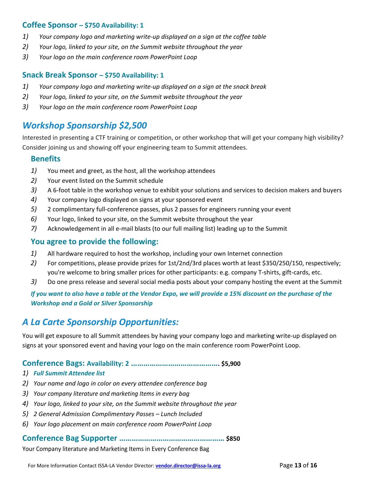## **Coffee Sponsor – \$750 Availability: 1**

- *1) Your company logo and marketing write-up displayed on a sign at the coffee table*
- *2) Your logo, linked to your site, on the Summit website throughout the year*
- *3) Your logo on the main conference room PowerPoint Loop*

## **Snack Break Sponsor – \$750 Availability: 1**

- *1) Your company logo and marketing write-up displayed on a sign at the snack break*
- *2) Your logo, linked to your site, on the Summit website throughout the year*
- *3) Your logo on the main conference room PowerPoint Loop*

## *Workshop Sponsorship \$2,500*

Interested in presenting a CTF training or competition, or other workshop that will get your company high visibility? Consider joining us and showing off your engineering team to Summit attendees.

## **Benefits**

- *1)* You meet and greet, as the host, all the workshop attendees
- *2)* Your event listed on the Summit schedule
- *3)* A 6-foot table in the workshop venue to exhibit your solutions and services to decision makers and buyers
- *4)* Your company logo displayed on signs at your sponsored event
- *5)* 2 complimentary full-conference passes, plus 2 passes for engineers running your event
- *6)* Your logo, linked to your site, on the Summit website throughout the year
- *7)* Acknowledgement in all e-mail blasts (to our full mailing list) leading up to the Summit

## **You agree to provide the following:**

- *1)* All hardware required to host the workshop, including your own Internet connection
- *2)* For competitions, please provide prizes for 1st/2nd/3rd places worth at least \$350/250/150, respectively; you're welcome to bring smaller prices for other participants: e.g. company T-shirts, gift-cards, etc.
- *3)* Do one press release and several social media posts about your company hosting the event at the Summit

*If you want to also have a table at the Vendor Expo, we will provide a 15% discount on the purchase of the Workshop and a Gold or Silver Sponsorship*

## *A La Carte Sponsorship Opportunities:*

You will get exposure to all Summit attendees by having your company logo and marketing write-up displayed on signs at your sponsored event and having your logo on the main conference room PowerPoint Loop.

## **Conference Bags: Availability: 2 ……………………………………. \$5,900**

- *1) Full Summit Attendee list*
- *2) Your name and logo in color on every attendee conference bag*
- *3) Your company literature and marketing Items in every bag*
- *4) Your logo, linked to your site, on the Summit website throughout the year*
- *5) 2 General Admission Complimentary Passes – Lunch Included*
- *6) Your logo placement on main conference room PowerPoint Loop*

## **Conference Bag Supporter …………………………………………… \$850**

Your Company literature and Marketing Items in Every Conference Bag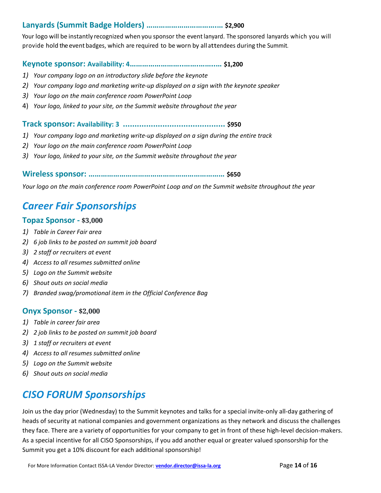## **Lanyards (Summit Badge Holders) …………………………….… \$2,900**

Your logo will be instantly recognized when you sponsor the event lanyard. The sponsored lanyards which you will provide hold the event badges, which are required to be worn by all attendees during the Summit.

## **Keynote sponsor: Availability: 4……………………..…….……..… \$1,200**

- *1) Your company logo on an introductory slide before the keynote*
- *2) Your company logo and marketing write-up displayed on a sign with the keynote speaker*
- *3) Your logo on the main conference room PowerPoint Loop*
- 4) *Your logo, linked to your site, on the Summit website throughout the year*

#### **Track sponsor: Availability: 3 ............................................ \$950**

- *1) Your company logo and marketing write-up displayed on a sign during the entire track*
- *2) Your logo on the main conference room PowerPoint Loop*
- *3) Your logo, linked to your site, on the Summit website throughout the year*

#### **Wireless sponsor: ………………………………………………………… \$650**

*Your logo on the main conference room PowerPoint Loop and on the Summit website throughout the year*

# *Career Fair Sponsorships*

## **Topaz Sponsor - \$3,000**

- *1) Table in Career Fair area*
- *2) 6 job links to be posted on summit job board*
- *3) 2 staff or recruiters at event*
- *4) Access to all resumes submitted online*
- *5) Logo on the Summit website*
- *6) Shout outs on social media*
- *7) Branded swag/promotional item in the Official Conference Bag*

## **Onyx Sponsor - \$2,000**

- *1) Table in career fair area*
- *2) 2 job links to be posted on summit job board*
- *3) 1 staff or recruiters at event*
- *4) Access to all resumes submitted online*
- *5) Logo on the Summit website*
- *6) Shout outs on social media*

# *CISO FORUM Sponsorships*

Join us the day prior (Wednesday) to the Summit keynotes and talks for a special invite-only all-day gathering of heads of security at national companies and government organizations as they network and discuss the challenges they face. There are a variety of opportunities for your company to get in front of these high-level decision-makers. As a special incentive for all CISO Sponsorships, if you add another equal or greater valued sponsorship for the Summit you get a 10% discount for each additional sponsorship!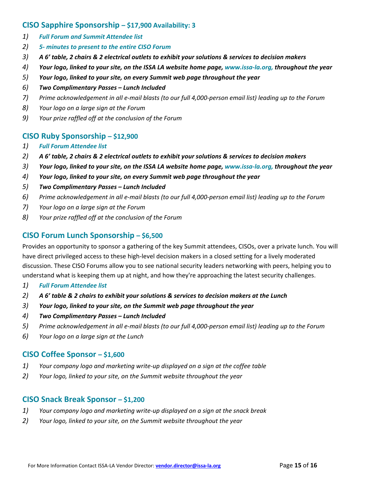## **CISO Sapphire Sponsorship – \$17,900 Availability: 3**

- *1) Full Forum and Summit Attendee list*
- *2) 5- minutes to present to the entire CISO Forum*
- *3) A 6' table, 2 chairs & 2 electrical outlets to exhibit your solutions & services to decision makers*
- *4) Your logo, linked to your site, on the ISSA LA website home page, [www.issa-la.org,](http://www.issa-la.org/) throughout the year*
- *5) Your logo, linked to your site, on every Summit web page throughout the year*
- *6) Two Complimentary Passes – Lunch Included*
- *7) Prime acknowledgement in all e-mail blasts (to our full 4,000-person email list) leading up to the Forum*
- *8) Your logo on a large sign at the Forum*
- *9) Your prize raffled off at the conclusion of the Forum*

## **CISO Ruby Sponsorship – \$12,900**

- *1) Full Forum Attendee list*
- *2) A 6' table, 2 chairs & 2 electrical outlets to exhibit your solutions & services to decision makers*
- *3) Your logo, linked to your site, on the ISSA LA website home page, [www.issa-la.org,](http://www.issa-la.org/) throughout the year*
- *4) Your logo, linked to your site, on every Summit web page throughout the year*
- *5) Two Complimentary Passes – Lunch Included*
- *6) Prime acknowledgement in all e-mail blasts (to our full 4,000-person email list) leading up to the Forum*
- *7) Your logo on a large sign at the Forum*
- *8) Your prize raffled off at the conclusion of the Forum*

## **CISO Forum Lunch Sponsorship – \$6,500**

Provides an opportunity to sponsor a gathering of the key Summit attendees, CISOs, over a private lunch. You will have direct privileged access to these high-level decision makers in a closed setting for a lively moderated discussion. These CISO Forums allow you to see national security leaders networking with peers, helping you to understand what is keeping them up at night, and how they're approaching the latest security challenges.

- *1) Full Forum Attendee list*
- *2) A 6' table & 2 chairs to exhibit your solutions & services to decision makers at the Lunch*
- *3) Your logo, linked to your site, on the Summit web page throughout the year*
- *4) Two Complimentary Passes – Lunch Included*
- *5) Prime acknowledgement in all e-mail blasts (to our full 4,000-person email list) leading up to the Forum*
- *6) Your logo on a large sign at the Lunch*

## **CISO Coffee Sponsor – \$1,600**

- *1) Your company logo and marketing write-up displayed on a sign at the coffee table*
- *2) Your logo, linked to your site, on the Summit website throughout the year*

## **CISO Snack Break Sponsor – \$1,200**

- *1) Your company logo and marketing write-up displayed on a sign at the snack break*
- *2) Your logo, linked to your site, on the Summit website throughout the year*